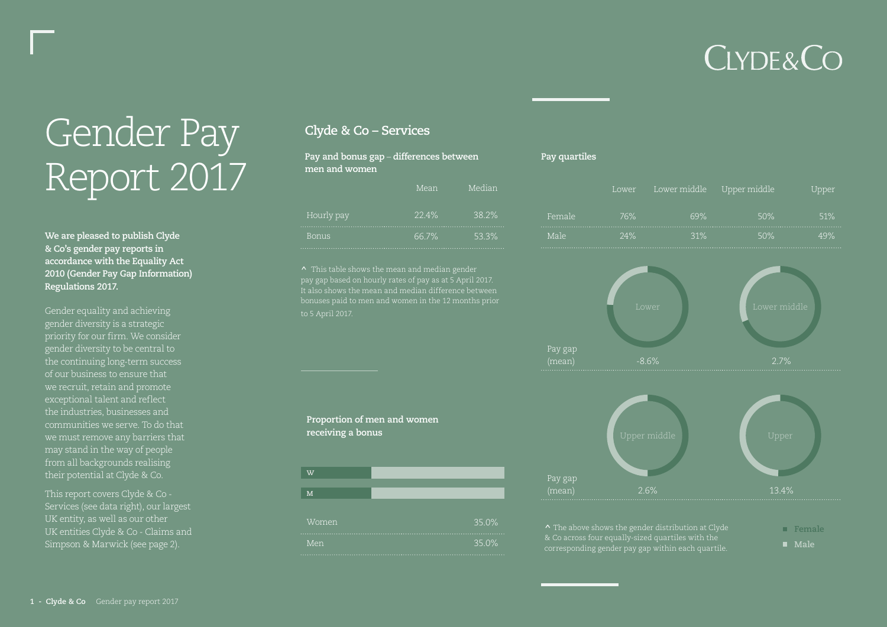## **CLYDE&CO**

# Gender Pay Report 2017

**We are pleased to publish Clyde & Co's gender pay reports in accordance with the Equality Act 2010 (Gender Pay Gap Information) Regulations 2017.**

Gender equality and achieving gender diversity is a strategic priority for our firm. We consider gender diversity to be central to the continuing long-term success of our business to ensure that we recruit, retain and promote exceptional talent and reflect the industries, businesses and communities we serve. To do that we must remove any barriers that may stand in the way of people from all backgrounds realising

This report covers Clyde & Co - Services (see data right), our largest UK entity, as well as our other UK entities Clyde & Co - Claims and Simpson & Marwick (see page 2).

#### **Clyde & Co – Services**

| Pay and bonus gap $-$ differences between<br>men and women |       |        |  |
|------------------------------------------------------------|-------|--------|--|
|                                                            | Mean  | Median |  |
| Hourly pay                                                 | 22.4% | 38.2%  |  |
| <b>Bonus</b>                                               | 66.7% | 53.3%  |  |

**^** This table shows the mean and median gender pay gap based on hourly rates of pay as at 5 April 2017. It also shows the mean and median difference between to 5 April 2017.



#### **Pay quartiles**

|        | Lower | Lower middle Upper middle |     | Upper |
|--------|-------|---------------------------|-----|-------|
| Female | 76%   | 69%                       | 50% | 51%   |
| Male   | 24%   | 31%                       | 50% | 49%   |





**^** The above shows the gender distribution at Clyde & Co across four equally-sized quartiles with the corresponding gender pay gap within each quartile.

**Female Male**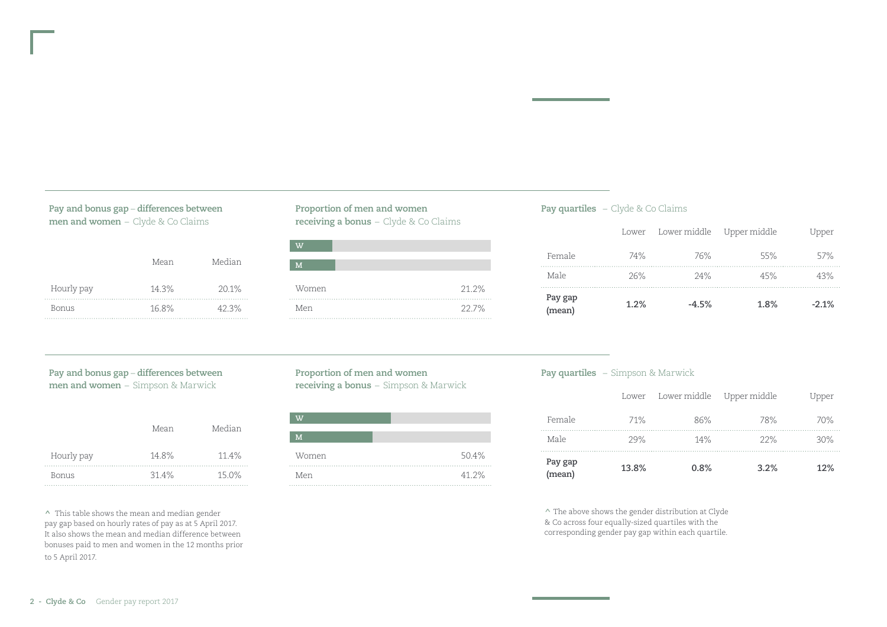| Pay and bonus gap - differences between |  |
|-----------------------------------------|--|
| men and women - Clyde & Co Claims       |  |

|            | Mean  | Median |
|------------|-------|--------|
| Hourly pay | 14.3% | 20.1%  |
| Bonus      | 16.8% | 42.3%  |

#### **Proportion of men and women receiving a bonus** – Clyde & Co Claims



#### **Pay quartiles** – Clyde & Co Claims

| Pay gap<br>(mean) | 1.2%  | $-4.5%$                   | 1.8% | $-2.1%$ |
|-------------------|-------|---------------------------|------|---------|
| Male              | 26%   | 24%                       | 45%  | 43%     |
| Female            | 74%   | 76%                       | 55%  | 57%     |
|                   | Lower | Lower middle Upper middle |      | Upper   |

#### **Pay and bonus gap** – **differences between men and women** – Simpson & Marwick

|            | Mean  | Median |
|------------|-------|--------|
| Hourly pay | 14.8% | 11.4%  |
| Bonus      | 31.4% | 15.0%  |

**^** This table shows the mean and median gender pay gap based on hourly rates of pay as at 5 April 2017. It also shows the mean and median difference between bonuses paid to men and women in the 12 months prior to 5 April 2017.

#### **Proportion of men and women receiving a bonus** – Simpson & Marwick

| $\overline{v}$ |       |
|----------------|-------|
| M              |       |
| Women          | 50.4% |
| Men            | 41.2% |

#### **Pay quartiles** – Simpson & Marwick

| Pay gap<br>(mean) | 13.8% | 0.8%                      | 3.2% | 12%   |
|-------------------|-------|---------------------------|------|-------|
| Male              | 29%   | 14%                       | 22%  | 30%   |
| Female            | 71%   | 86%                       | 78%  | 70%   |
|                   | Lower | Lower middle Upper middle |      | Upper |

**^** The above shows the gender distribution at Clyde & Co across four equally-sized quartiles with the corresponding gender pay gap within each quartile.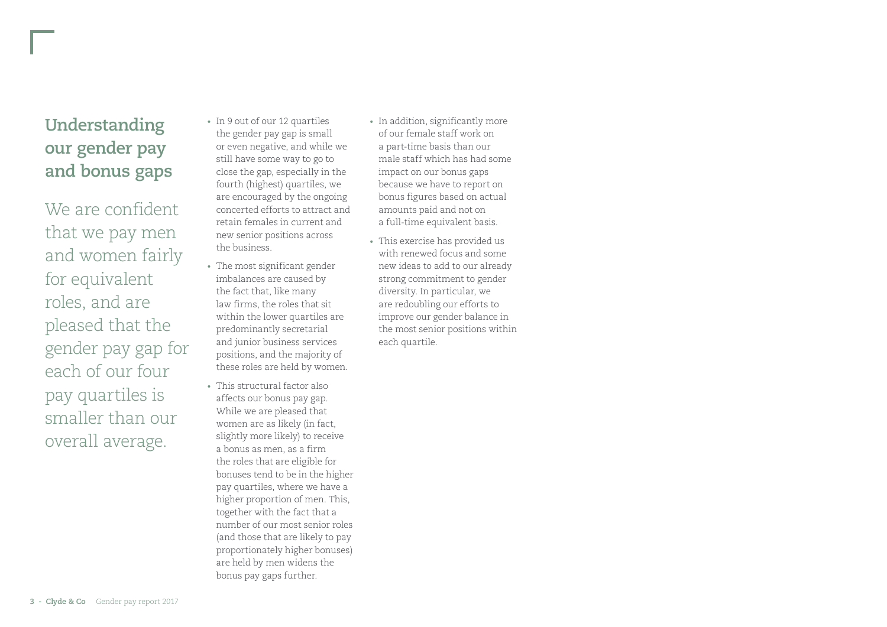### **Understanding our gender pay and bonus gaps**

We are confident that we pay men and women fairly for equivalent roles, and are pleased that the gender pay gap for each of our four pay quartiles is smaller than our overall average.

- In 9 out of our 12 quartiles the gender pay gap is small or even negative, and while we still have some way to go to close the gap, especially in the fourth (highest) quartiles, we are encouraged by the ongoing concerted efforts to attract and retain females in current and new senior positions across the business.
- The most significant gender imbalances are caused by the fact that, like many law firms, the roles that sit within the lower quartiles are predominantly secretarial and junior business services positions, and the majority of these roles are held by women.
- This structural factor also affects our bonus pay gap. While we are pleased that women are as likely (in fact, slightly more likely) to receive a bonus as men, as a firm the roles that are eligible for bonuses tend to be in the higher pay quartiles, where we have a higher proportion of men. This, together with the fact that a number of our most senior roles (and those that are likely to pay proportionately higher bonuses) are held by men widens the bonus pay gaps further.
- In addition, significantly more of our female staff work on a part-time basis than our male staff which has had some impact on our bonus gaps because we have to report on bonus figures based on actual amounts paid and not on a full-time equivalent basis.
- This exercise has provided us with renewed focus and some new ideas to add to our already strong commitment to gender diversity. In particular, we are redoubling our efforts to improve our gender balance in the most senior positions within each quartile.